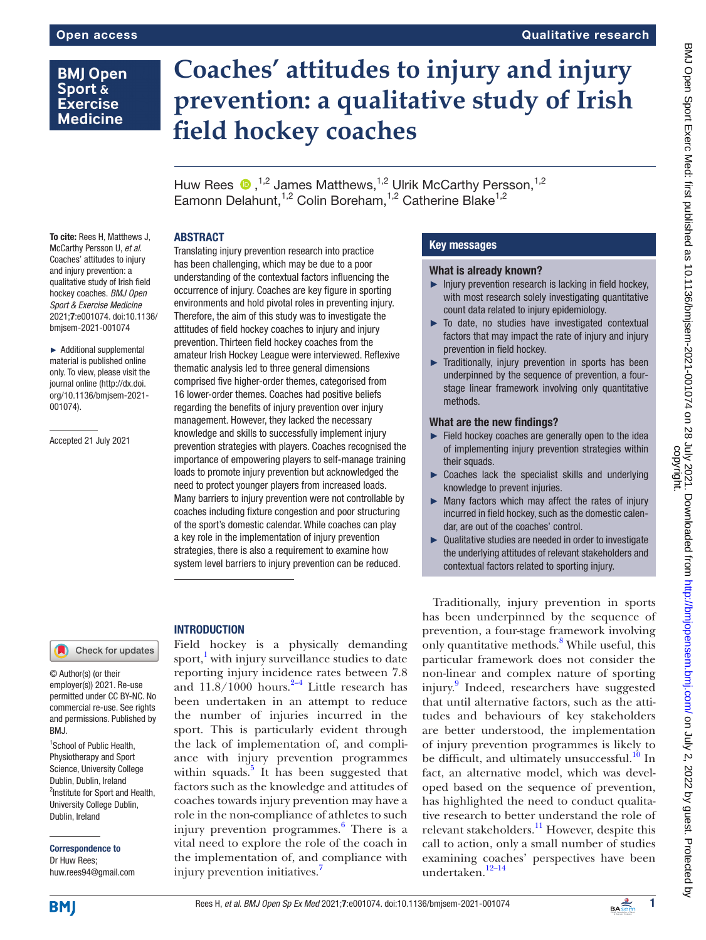# **BMJ Open** Sport & **Exercise Medicine**

# **Coaches' attitudes to injury and injury prevention: a qualitative study of Irish field hockey coaches**

HuwRees  $\bullet$ ,<sup>1,2</sup> James Matthews,<sup>1,2</sup> Ulrik McCarthy Persson,<sup>1,2</sup> Eamonn Delahunt,<sup>1,2</sup> Colin Boreham,<sup>1,2</sup> Catherine Blake<sup>1,2</sup>

### **ABSTRACT**

To cite: Rees H, Matthews J, McCarthy Persson U, *et al*. Coaches' attitudes to injury and injury prevention: a qualitative study of Irish field hockey coaches. *BMJ Open Sport & Exercise Medicine* 2021;7:e001074. doi:10.1136/ bmjsem-2021-001074

► Additional supplemental material is published online only. To view, please visit the journal online ([http://dx.doi.](http://dx.doi.org/10.1136/bmjsem-2021-001074) [org/10.1136/bmjsem-2021-](http://dx.doi.org/10.1136/bmjsem-2021-001074) [001074](http://dx.doi.org/10.1136/bmjsem-2021-001074)).

Accepted 21 July 2021

Translating injury prevention research into practice has been challenging, which may be due to a poor understanding of the contextual factors influencing the occurrence of injury. Coaches are key figure in sporting environments and hold pivotal roles in preventing injury. Therefore, the aim of this study was to investigate the attitudes of field hockey coaches to injury and injury prevention. Thirteen field hockey coaches from the amateur Irish Hockey League were interviewed. Reflexive thematic analysis led to three general dimensions comprised five higher-order themes, categorised from 16 lower-order themes. Coaches had positive beliefs regarding the benefits of injury prevention over injury management. However, they lacked the necessary knowledge and skills to successfully implement injury prevention strategies with players. Coaches recognised the importance of empowering players to self-manage training loads to promote injury prevention but acknowledged the need to protect younger players from increased loads. Many barriers to injury prevention were not controllable by coaches including fixture congestion and poor structuring of the sport's domestic calendar. While coaches can play a key role in the implementation of injury prevention strategies, there is also a requirement to examine how system level barriers to injury prevention can be reduced.

# Check for updates

#### © Author(s) (or their employer(s)) 2021. Re-use permitted under CC BY-NC. No commercial re-use. See rights and permissions. Published by BMJ.

<sup>1</sup>School of Public Health, Physiotherapy and Sport Science, University College Dublin, Dublin, Ireland <sup>2</sup>Institute for Sport and Health, University College Dublin, Dublin, Ireland

Correspondence to Dr Huw Rees; huw.rees94@gmail.com

# **INTRODUCTION**

Field hockey is a physically demanding sport,<sup>[1](#page-7-0)</sup> with injury surveillance studies to date reporting injury incidence rates between 7.8 and  $11.8/1000$  hours.<sup>2-4</sup> Little research has been undertaken in an attempt to reduce the number of injuries incurred in the sport. This is particularly evident through the lack of implementation of, and compliance with injury prevention programmes within squads. $5$  It has been suggested that factors such as the knowledge and attitudes of coaches towards injury prevention may have a role in the non-compliance of athletes to such injury prevention programmes.<sup>[6](#page-7-3)</sup> There is a vital need to explore the role of the coach in the implementation of, and compliance with injury prevention initiatives.<sup>7</sup>

## Key messages

#### What is already known?

- $\blacktriangleright$  Injury prevention research is lacking in field hockey, with most research solely investigating quantitative count data related to injury epidemiology.
- ► To date, no studies have investigated contextual factors that may impact the rate of injury and injury prevention in field hockey.
- ► Traditionally, injury prevention in sports has been underpinned by the sequence of prevention, a fourstage linear framework involving only quantitative methods.

#### What are the new findings?

- ► Field hockey coaches are generally open to the idea of implementing injury prevention strategies within their squads.
- ► Coaches lack the specialist skills and underlying knowledge to prevent injuries.
- ► Many factors which may affect the rates of injury incurred in field hockey, such as the domestic calendar, are out of the coaches' control.
- ► Qualitative studies are needed in order to investigate the underlying attitudes of relevant stakeholders and contextual factors related to sporting injury.

Traditionally, injury prevention in sports has been underpinned by the sequence of prevention, a four-stage framework involving only quantitative methods.<sup>[8](#page-7-5)</sup> While useful, this particular framework does not consider the non-linear and complex nature of sporting injury.<sup>[9](#page-7-6)</sup> Indeed, researchers have suggested that until alternative factors, such as the attitudes and behaviours of key stakeholders are better understood, the implementation of injury prevention programmes is likely to be difficult, and ultimately unsuccessful. $^{10}$  $^{10}$  $^{10}$  In fact, an alternative model, which was developed based on the sequence of prevention, has highlighted the need to conduct qualitative research to better understand the role of relevant stakeholders.<sup>11</sup> However, despite this call to action, only a small number of studies examining coaches' perspectives have been

undertaken.<sup>12-14</sup>

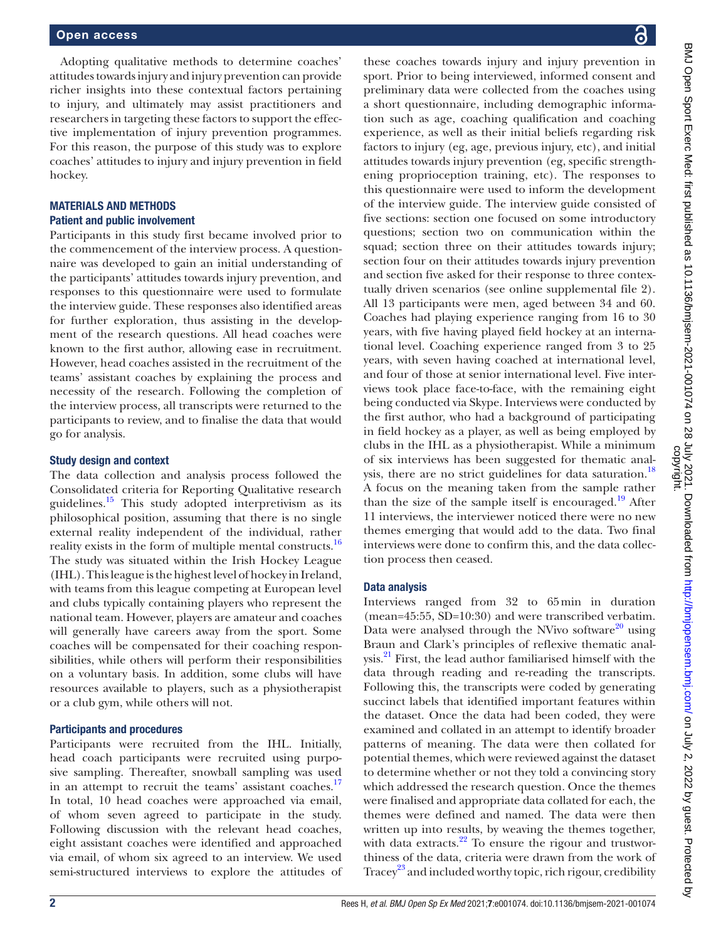Adopting qualitative methods to determine coaches' attitudes towards injury and injury prevention can provide richer insights into these contextual factors pertaining to injury, and ultimately may assist practitioners and researchers in targeting these factors to support the effective implementation of injury prevention programmes. For this reason, the purpose of this study was to explore coaches' attitudes to injury and injury prevention in field hockey.

#### MATERIALS AND METHODS Patient and public involvement

Participants in this study first became involved prior to the commencement of the interview process. A questionnaire was developed to gain an initial understanding of the participants' attitudes towards injury prevention, and responses to this questionnaire were used to formulate the interview guide. These responses also identified areas for further exploration, thus assisting in the development of the research questions. All head coaches were known to the first author, allowing ease in recruitment. However, head coaches assisted in the recruitment of the teams' assistant coaches by explaining the process and necessity of the research. Following the completion of the interview process, all transcripts were returned to the participants to review, and to finalise the data that would go for analysis.

#### Study design and context

The data collection and analysis process followed the Consolidated criteria for Reporting Qualitative research guidelines[.15](#page-7-10) This study adopted interpretivism as its philosophical position, assuming that there is no single external reality independent of the individual, rather reality exists in the form of multiple mental constructs.<sup>[16](#page-7-11)</sup> The study was situated within the Irish Hockey League (IHL). This league is the highest level of hockey in Ireland, with teams from this league competing at European level and clubs typically containing players who represent the national team. However, players are amateur and coaches will generally have careers away from the sport. Some coaches will be compensated for their coaching responsibilities, while others will perform their responsibilities on a voluntary basis. In addition, some clubs will have resources available to players, such as a physiotherapist or a club gym, while others will not.

#### Participants and procedures

Participants were recruited from the IHL. Initially, head coach participants were recruited using purposive sampling. Thereafter, snowball sampling was used in an attempt to recruit the teams' assistant coaches.<sup>17</sup> In total, 10 head coaches were approached via email, of whom seven agreed to participate in the study. Following discussion with the relevant head coaches, eight assistant coaches were identified and approached via email, of whom six agreed to an interview. We used semi-structured interviews to explore the attitudes of

these coaches towards injury and injury prevention in sport. Prior to being interviewed, informed consent and preliminary data were collected from the coaches using a short questionnaire, including demographic information such as age, coaching qualification and coaching experience, as well as their initial beliefs regarding risk factors to injury (eg, age, previous injury, etc), and initial attitudes towards injury prevention (eg, specific strengthening proprioception training, etc). The responses to this questionnaire were used to inform the development of the interview guide. The interview guide consisted of five sections: section one focused on some introductory questions; section two on communication within the squad; section three on their attitudes towards injury; section four on their attitudes towards injury prevention and section five asked for their response to three contextually driven scenarios (see [online supplemental file 2](https://dx.doi.org/10.1136/bmjsem-2021-001074)). All 13 participants were men, aged between 34 and 60. Coaches had playing experience ranging from 16 to 30 years, with five having played field hockey at an international level. Coaching experience ranged from 3 to 25 years, with seven having coached at international level, and four of those at senior international level. Five interviews took place face-to-face, with the remaining eight being conducted via Skype. Interviews were conducted by the first author, who had a background of participating in field hockey as a player, as well as being employed by clubs in the IHL as a physiotherapist. While a minimum of six interviews has been suggested for thematic anal-ysis, there are no strict guidelines for data saturation.<sup>[18](#page-7-13)</sup> A focus on the meaning taken from the sample rather than the size of the sample itself is encouraged.<sup>19</sup> After 11 interviews, the interviewer noticed there were no new themes emerging that would add to the data. Two final interviews were done to confirm this, and the data collection process then ceased.

#### Data analysis

Interviews ranged from 32 to 65min in duration (mean=45:55, SD=10:30) and were transcribed verbatim. Data were analysed through the NVivo software $^{20}$  using Braun and Clark's principles of reflexive thematic analysis.<sup>21</sup> First, the lead author familiarised himself with the data through reading and re-reading the transcripts. Following this, the transcripts were coded by generating succinct labels that identified important features within the dataset. Once the data had been coded, they were examined and collated in an attempt to identify broader patterns of meaning. The data were then collated for potential themes, which were reviewed against the dataset to determine whether or not they told a convincing story which addressed the research question. Once the themes were finalised and appropriate data collated for each, the themes were defined and named. The data were then written up into results, by weaving the themes together, with data extracts. $^{22}$  To ensure the rigour and trustworthiness of the data, criteria were drawn from the work of Tracey<sup>[23](#page-8-4)</sup> and included worthy topic, rich rigour, credibility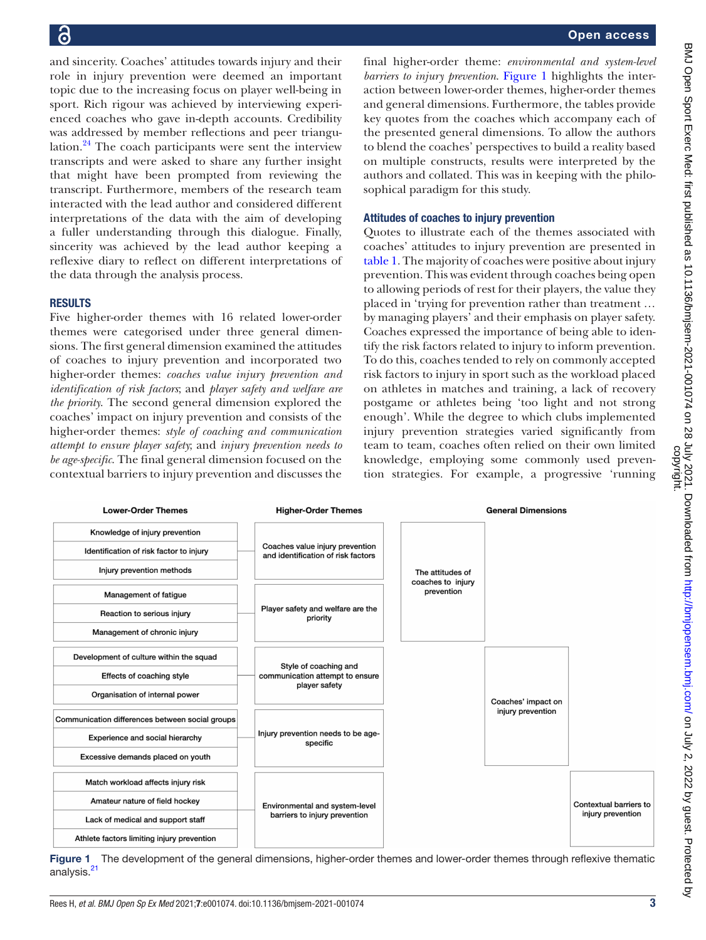and sincerity. Coaches' attitudes towards injury and their role in injury prevention were deemed an important topic due to the increasing focus on player well-being in sport. Rich rigour was achieved by interviewing experienced coaches who gave in-depth accounts. Credibility was addressed by member reflections and peer triangulation. $^{24}$  The coach participants were sent the interview transcripts and were asked to share any further insight that might have been prompted from reviewing the transcript. Furthermore, members of the research team interacted with the lead author and considered different interpretations of the data with the aim of developing a fuller understanding through this dialogue. Finally, sincerity was achieved by the lead author keeping a reflexive diary to reflect on different interpretations of the data through the analysis process.

#### RESULTS

Five higher-order themes with 16 related lower-order themes were categorised under three general dimensions. The first general dimension examined the attitudes of coaches to injury prevention and incorporated two higher-order themes: *coaches value injury prevention and identification of risk factors*; and *player safety and welfare are the priority*. The second general dimension explored the coaches' impact on injury prevention and consists of the higher-order themes: *style of coaching and communication attempt to ensure player safety*; and *injury prevention needs to be age-specific*. The final general dimension focused on the contextual barriers to injury prevention and discusses the

final higher-order theme: *environmental and system-level barriers to injury prevention*. [Figure](#page-2-0) 1 highlights the interaction between lower-order themes, higher-order themes and general dimensions. Furthermore, the tables provide key quotes from the coaches which accompany each of the presented general dimensions. To allow the authors to blend the coaches' perspectives to build a reality based on multiple constructs, results were interpreted by the authors and collated. This was in keeping with the philosophical paradigm for this study.

#### Attitudes of coaches to injury prevention

Quotes to illustrate each of the themes associated with coaches' attitudes to injury prevention are presented in [table](#page-3-0) 1. The majority of coaches were positive about injury prevention. This was evident through coaches being open to allowing periods of rest for their players, the value they placed in 'trying for prevention rather than treatment … by managing players' and their emphasis on player safety. Coaches expressed the importance of being able to identify the risk factors related to injury to inform prevention. To do this, coaches tended to rely on commonly accepted risk factors to injury in sport such as the workload placed on athletes in matches and training, a lack of recovery postgame or athletes being 'too light and not strong enough'. While the degree to which clubs implemented injury prevention strategies varied significantly from team to team, coaches often relied on their own limited knowledge, employing some commonly used prevention strategies. For example, a progressive 'running

| <b>Lower-Order Themes</b>                       |  | <b>Higher-Order Themes</b>                                                |  |                                 | <b>General Dimensions</b> |                        |
|-------------------------------------------------|--|---------------------------------------------------------------------------|--|---------------------------------|---------------------------|------------------------|
| Knowledge of injury prevention                  |  | Coaches value injury prevention<br>and identification of risk factors     |  | The attitudes of                |                           |                        |
| Identification of risk factor to injury         |  |                                                                           |  |                                 |                           |                        |
| Injury prevention methods                       |  |                                                                           |  |                                 |                           |                        |
| Management of fatigue                           |  |                                                                           |  | coaches to injury<br>prevention |                           |                        |
| Reaction to serious injury                      |  | Player safety and welfare are the<br>priority                             |  |                                 |                           |                        |
| Management of chronic injury                    |  |                                                                           |  |                                 |                           |                        |
| Development of culture within the squad         |  |                                                                           |  |                                 |                           |                        |
| Effects of coaching style                       |  | Style of coaching and<br>communication attempt to ensure<br>player safety |  |                                 |                           |                        |
| Organisation of internal power                  |  |                                                                           |  |                                 | Coaches' impact on        |                        |
| Communication differences between social groups |  |                                                                           |  |                                 | injury prevention         |                        |
| Experience and social hierarchy                 |  | Injury prevention needs to be age-<br>specific                            |  |                                 |                           |                        |
| Excessive demands placed on youth               |  |                                                                           |  |                                 |                           |                        |
| Match workload affects injury risk              |  |                                                                           |  |                                 |                           |                        |
| Amateur nature of field hockey                  |  | Environmental and system-level                                            |  |                                 |                           | Contextual barriers to |
| Lack of medical and support staff               |  | barriers to injury prevention                                             |  |                                 |                           | injury prevention      |
| Athlete factors limiting injury prevention      |  |                                                                           |  |                                 |                           |                        |

<span id="page-2-0"></span>Figure 1 The development of the general dimensions, higher-order themes and lower-order themes through reflexive thematic analysis.<sup>[21](#page-8-2)</sup>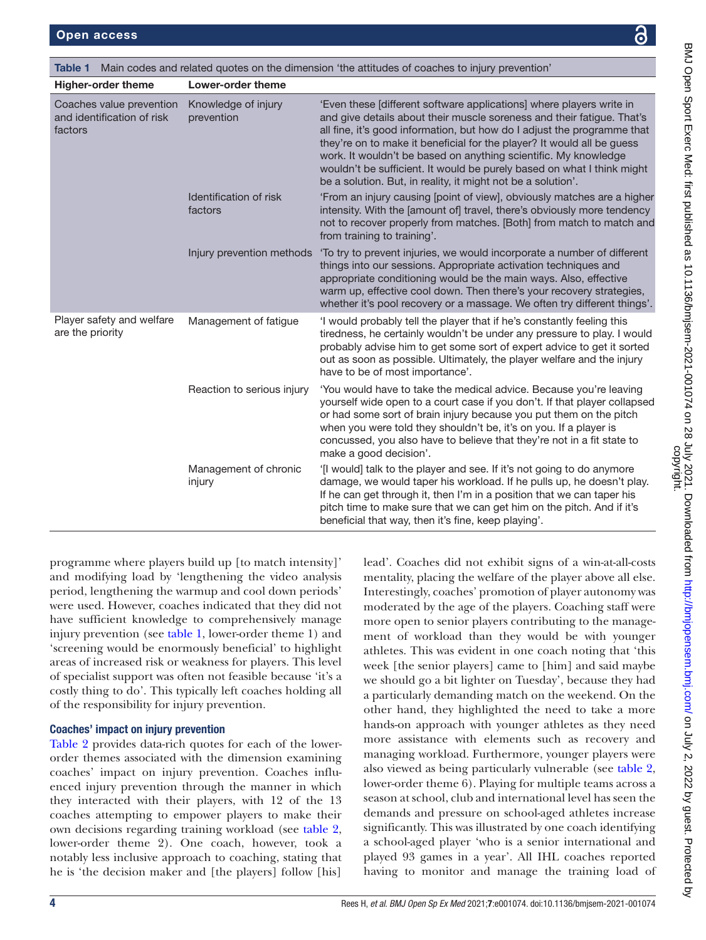<span id="page-3-0"></span>

| Table 1 Main codes and related quotes on the dimension 'the attitudes of coaches to injury prevention' |                                   |                                                                                                                                                                                                                                                                                                                                                                                                                                                                                                                  |  |  |
|--------------------------------------------------------------------------------------------------------|-----------------------------------|------------------------------------------------------------------------------------------------------------------------------------------------------------------------------------------------------------------------------------------------------------------------------------------------------------------------------------------------------------------------------------------------------------------------------------------------------------------------------------------------------------------|--|--|
| <b>Higher-order theme</b>                                                                              | <b>Lower-order theme</b>          |                                                                                                                                                                                                                                                                                                                                                                                                                                                                                                                  |  |  |
| Coaches value prevention<br>and identification of risk<br>factors                                      | Knowledge of injury<br>prevention | 'Even these [different software applications] where players write in<br>and give details about their muscle soreness and their fatigue. That's<br>all fine, it's good information, but how do I adjust the programme that<br>they're on to make it beneficial for the player? It would all be guess<br>work. It wouldn't be based on anything scientific. My knowledge<br>wouldn't be sufficient. It would be purely based on what I think might<br>be a solution. But, in reality, it might not be a solution'. |  |  |
|                                                                                                        | Identification of risk<br>factors | 'From an injury causing [point of view], obviously matches are a higher<br>intensity. With the [amount of] travel, there's obviously more tendency<br>not to recover properly from matches. [Both] from match to match and<br>from training to training'.                                                                                                                                                                                                                                                        |  |  |
|                                                                                                        | Injury prevention methods         | 'To try to prevent injuries, we would incorporate a number of different<br>things into our sessions. Appropriate activation techniques and<br>appropriate conditioning would be the main ways. Also, effective<br>warm up, effective cool down. Then there's your recovery strategies,<br>whether it's pool recovery or a massage. We often try different things'.                                                                                                                                               |  |  |
| Player safety and welfare<br>are the priority                                                          | Management of fatigue             | 'I would probably tell the player that if he's constantly feeling this<br>tiredness, he certainly wouldn't be under any pressure to play. I would<br>probably advise him to get some sort of expert advice to get it sorted<br>out as soon as possible. Ultimately, the player welfare and the injury<br>have to be of most importance'.                                                                                                                                                                         |  |  |
|                                                                                                        | Reaction to serious injury        | 'You would have to take the medical advice. Because you're leaving<br>yourself wide open to a court case if you don't. If that player collapsed<br>or had some sort of brain injury because you put them on the pitch<br>when you were told they shouldn't be, it's on you. If a player is<br>concussed, you also have to believe that they're not in a fit state to<br>make a good decision'.                                                                                                                   |  |  |
|                                                                                                        | Management of chronic<br>injury   | '[I would] talk to the player and see. If it's not going to do anymore<br>damage, we would taper his workload. If he pulls up, he doesn't play.<br>If he can get through it, then I'm in a position that we can taper his<br>pitch time to make sure that we can get him on the pitch. And if it's<br>beneficial that way, then it's fine, keep playing'.                                                                                                                                                        |  |  |

programme where players build up [to match intensity]' and modifying load by 'lengthening the video analysis period, lengthening the warmup and cool down periods' were used. However, coaches indicated that they did not have sufficient knowledge to comprehensively manage injury prevention (see [table](#page-3-0) 1, lower-order theme 1) and 'screening would be enormously beneficial' to highlight areas of increased risk or weakness for players. This level of specialist support was often not feasible because 'it's a costly thing to do'. This typically left coaches holding all of the responsibility for injury prevention.

#### Coaches' impact on injury prevention

[Table](#page-4-0) 2 provides data-rich quotes for each of the lowerorder themes associated with the dimension examining coaches' impact on injury prevention. Coaches influenced injury prevention through the manner in which they interacted with their players, with 12 of the 13 coaches attempting to empower players to make their own decisions regarding training workload (see [table](#page-4-0) 2, lower-order theme 2). One coach, however, took a notably less inclusive approach to coaching, stating that he is 'the decision maker and [the players] follow [his]

lead'. Coaches did not exhibit signs of a win-at-all-costs mentality, placing the welfare of the player above all else. Interestingly, coaches' promotion of player autonomy was moderated by the age of the players. Coaching staff were more open to senior players contributing to the management of workload than they would be with younger athletes. This was evident in one coach noting that 'this week [the senior players] came to [him] and said maybe we should go a bit lighter on Tuesday', because they had a particularly demanding match on the weekend. On the other hand, they highlighted the need to take a more hands-on approach with younger athletes as they need more assistance with elements such as recovery and managing workload. Furthermore, younger players were also viewed as being particularly vulnerable (see [table](#page-4-0) 2, lower-order theme 6). Playing for multiple teams across a season at school, club and international level has seen the demands and pressure on school-aged athletes increase significantly. This was illustrated by one coach identifying a school-aged player 'who is a senior international and played 93 games in a year'. All IHL coaches reported having to monitor and manage the training load of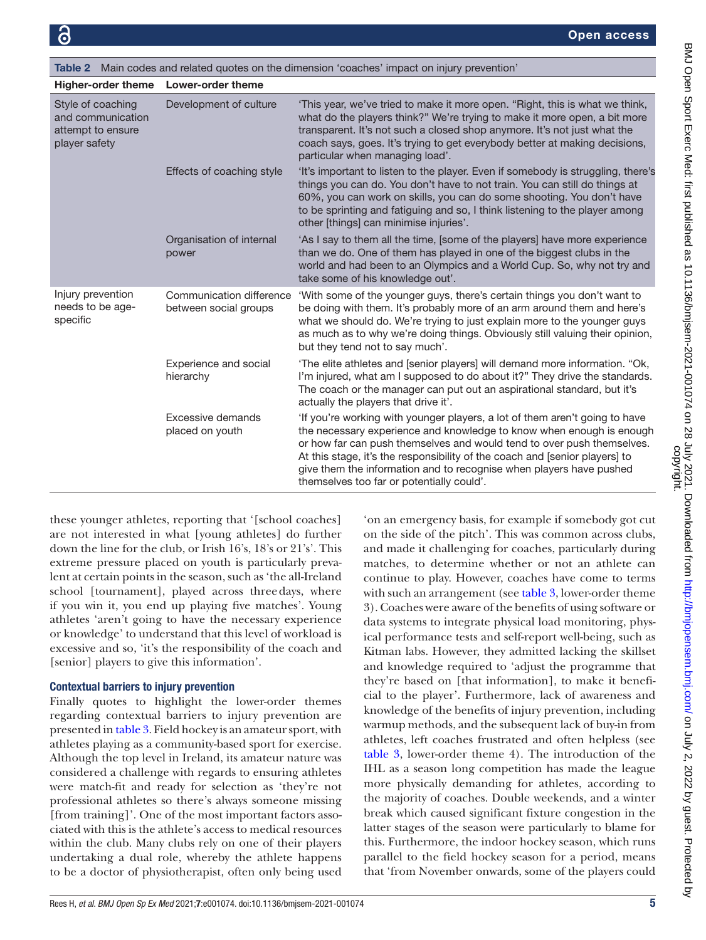| Higher-order theme Lower-order theme                                         |                                                   |                                                                                                                                                                                                                                                                                                                                                                                                                                  |  |  |  |  |
|------------------------------------------------------------------------------|---------------------------------------------------|----------------------------------------------------------------------------------------------------------------------------------------------------------------------------------------------------------------------------------------------------------------------------------------------------------------------------------------------------------------------------------------------------------------------------------|--|--|--|--|
| Style of coaching<br>and communication<br>attempt to ensure<br>player safety | Development of culture                            | 'This year, we've tried to make it more open. "Right, this is what we think,<br>what do the players think?" We're trying to make it more open, a bit more<br>transparent. It's not such a closed shop anymore. It's not just what the<br>coach says, goes. It's trying to get everybody better at making decisions,<br>particular when managing load'.                                                                           |  |  |  |  |
|                                                                              | Effects of coaching style                         | 'It's important to listen to the player. Even if somebody is struggling, there's<br>things you can do. You don't have to not train. You can still do things at<br>60%, you can work on skills, you can do some shooting. You don't have<br>to be sprinting and fatiguing and so, I think listening to the player among<br>other [things] can minimise injuries'.                                                                 |  |  |  |  |
|                                                                              | Organisation of internal<br>power                 | 'As I say to them all the time, [some of the players] have more experience<br>than we do. One of them has played in one of the biggest clubs in the<br>world and had been to an Olympics and a World Cup. So, why not try and<br>take some of his knowledge out'.                                                                                                                                                                |  |  |  |  |
| Injury prevention<br>needs to be age-<br>specific                            | Communication difference<br>between social groups | 'With some of the younger guys, there's certain things you don't want to<br>be doing with them. It's probably more of an arm around them and here's<br>what we should do. We're trying to just explain more to the younger guys<br>as much as to why we're doing things. Obviously still valuing their opinion,<br>but they tend not to say much'.                                                                               |  |  |  |  |
|                                                                              | Experience and social<br>hierarchy                | 'The elite athletes and [senior players] will demand more information. "Ok,<br>I'm injured, what am I supposed to do about it?" They drive the standards.<br>The coach or the manager can put out an aspirational standard, but it's<br>actually the players that drive it'.                                                                                                                                                     |  |  |  |  |
|                                                                              | Excessive demands<br>placed on youth              | 'If you're working with younger players, a lot of them aren't going to have<br>the necessary experience and knowledge to know when enough is enough<br>or how far can push themselves and would tend to over push themselves.<br>At this stage, it's the responsibility of the coach and [senior players] to<br>give them the information and to recognise when players have pushed<br>themselves too far or potentially could'. |  |  |  |  |

<span id="page-4-0"></span>Table 2 Main codes and related quotes on the dimension 'coaches' impact on injury prevention'

these younger athletes, reporting that '[school coaches] are not interested in what [young athletes] do further down the line for the club, or Irish 16's, 18's or 21's'. This extreme pressure placed on youth is particularly prevalent at certain points in the season, such as 'the all-Ireland school [tournament], played across threedays, where if you win it, you end up playing five matches'. Young athletes 'aren't going to have the necessary experience or knowledge' to understand that this level of workload is excessive and so, 'it's the responsibility of the coach and [senior] players to give this information'.

# Contextual barriers to injury prevention

Finally quotes to highlight the lower-order themes regarding contextual barriers to injury prevention are presented in [table](#page-5-0) 3. Field hockey is an amateur sport, with athletes playing as a community-based sport for exercise. Although the top level in Ireland, its amateur nature was considered a challenge with regards to ensuring athletes were match-fit and ready for selection as 'they're not professional athletes so there's always someone missing [from training]'. One of the most important factors associated with this is the athlete's access to medical resources within the club. Many clubs rely on one of their players undertaking a dual role, whereby the athlete happens to be a doctor of physiotherapist, often only being used

'on an emergency basis, for example if somebody got cut on the side of the pitch'. This was common across clubs, and made it challenging for coaches, particularly during matches, to determine whether or not an athlete can continue to play. However, coaches have come to terms with such an arrangement (see [table](#page-5-0) 3, lower-order theme 3). Coaches were aware of the benefits of using software or data systems to integrate physical load monitoring, physical performance tests and self-report well-being, such as Kitman labs. However, they admitted lacking the skillset and knowledge required to 'adjust the programme that they're based on [that information], to make it beneficial to the player'. Furthermore, lack of awareness and knowledge of the benefits of injury prevention, including warmup methods, and the subsequent lack of buy-in from athletes, left coaches frustrated and often helpless (see [table](#page-5-0) 3, lower-order theme 4). The introduction of the IHL as a season long competition has made the league more physically demanding for athletes, according to the majority of coaches. Double weekends, and a winter break which caused significant fixture congestion in the latter stages of the season were particularly to blame for this. Furthermore, the indoor hockey season, which runs parallel to the field hockey season for a period, means that 'from November onwards, some of the players could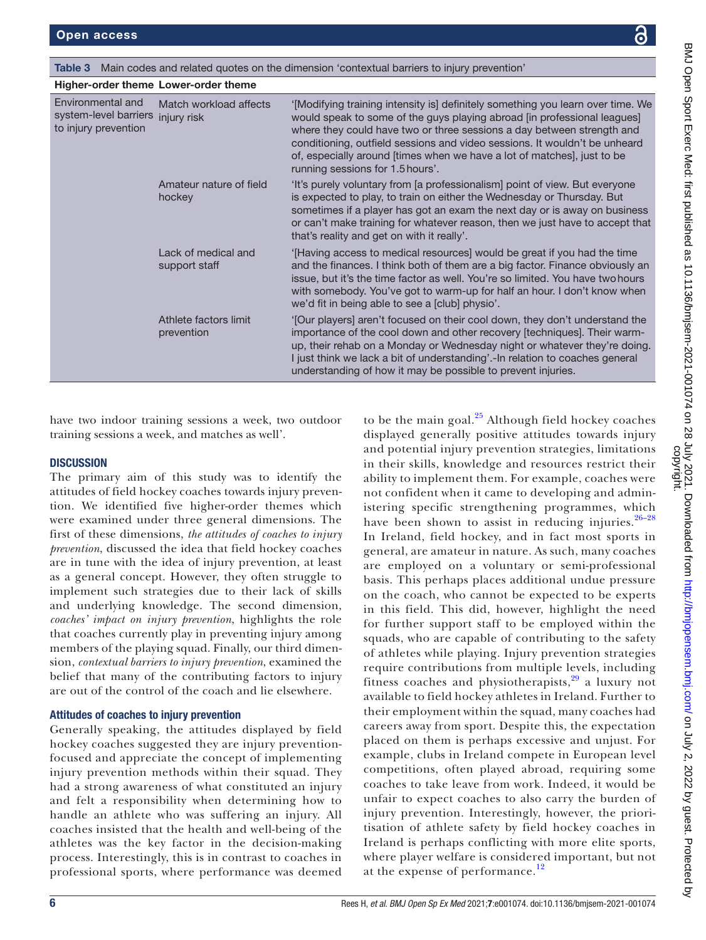|  | Table 3 Main codes and related quotes on the dimension 'contextual barriers to injury prevention' |
|--|---------------------------------------------------------------------------------------------------|

<span id="page-5-0"></span>

| Higher-order theme Lower-order theme                                           |                                      |                                                                                                                                                                                                                                                                                                                                                                                                                                  |  |  |
|--------------------------------------------------------------------------------|--------------------------------------|----------------------------------------------------------------------------------------------------------------------------------------------------------------------------------------------------------------------------------------------------------------------------------------------------------------------------------------------------------------------------------------------------------------------------------|--|--|
| Environmental and<br>system-level barriers injury risk<br>to injury prevention | Match workload affects               | '[Modifying training intensity is] definitely something you learn over time. We<br>would speak to some of the guys playing abroad [in professional leagues]<br>where they could have two or three sessions a day between strength and<br>conditioning, outfield sessions and video sessions. It wouldn't be unheard<br>of, especially around times when we have a lot of matches, just to be<br>running sessions for 1.5 hours'. |  |  |
|                                                                                | Amateur nature of field<br>hockey    | 'It's purely voluntary from [a professionalism] point of view. But everyone<br>is expected to play, to train on either the Wednesday or Thursday. But<br>sometimes if a player has got an exam the next day or is away on business<br>or can't make training for whatever reason, then we just have to accept that<br>that's reality and get on with it really'.                                                                 |  |  |
|                                                                                | Lack of medical and<br>support staff | '[Having access to medical resources] would be great if you had the time<br>and the finances. I think both of them are a big factor. Finance obviously an<br>issue, but it's the time factor as well. You're so limited. You have two hours<br>with somebody. You've got to warm-up for half an hour. I don't know when<br>we'd fit in being able to see a [club] physio'.                                                       |  |  |
|                                                                                | Athlete factors limit<br>prevention  | '[Our players] aren't focused on their cool down, they don't understand the<br>importance of the cool down and other recovery [techniques]. Their warm-<br>up, their rehab on a Monday or Wednesday night or whatever they're doing.<br>I just think we lack a bit of understanding'.-In relation to coaches general<br>understanding of how it may be possible to prevent injuries.                                             |  |  |

have two indoor training sessions a week, two outdoor training sessions a week, and matches as well'.

#### **DISCUSSION**

The primary aim of this study was to identify the attitudes of field hockey coaches towards injury prevention. We identified five higher-order themes which were examined under three general dimensions. The first of these dimensions, *the attitudes of coaches to injury prevention*, discussed the idea that field hockey coaches are in tune with the idea of injury prevention, at least as a general concept. However, they often struggle to implement such strategies due to their lack of skills and underlying knowledge. The second dimension, *coaches' impact on injury prevention*, highlights the role that coaches currently play in preventing injury among members of the playing squad. Finally, our third dimension, *contextual barriers to injury prevention*, examined the belief that many of the contributing factors to injury are out of the control of the coach and lie elsewhere.

#### Attitudes of coaches to injury prevention

Generally speaking, the attitudes displayed by field hockey coaches suggested they are injury preventionfocused and appreciate the concept of implementing injury prevention methods within their squad. They had a strong awareness of what constituted an injury and felt a responsibility when determining how to handle an athlete who was suffering an injury. All coaches insisted that the health and well-being of the athletes was the key factor in the decision-making process. Interestingly, this is in contrast to coaches in professional sports, where performance was deemed

to be the main goal.<sup>25</sup> Although field hockey coaches displayed generally positive attitudes towards injury and potential injury prevention strategies, limitations in their skills, knowledge and resources restrict their ability to implement them. For example, coaches were not confident when it came to developing and administering specific strengthening programmes, which have been shown to assist in reducing injuries. $26-28$ In Ireland, field hockey, and in fact most sports in general, are amateur in nature. As such, many coaches are employed on a voluntary or semi-professional basis. This perhaps places additional undue pressure on the coach, who cannot be expected to be experts in this field. This did, however, highlight the need for further support staff to be employed within the squads, who are capable of contributing to the safety of athletes while playing. Injury prevention strategies require contributions from multiple levels, including fitness coaches and physiotherapists, $29$  a luxury not available to field hockey athletes in Ireland. Further to their employment within the squad, many coaches had careers away from sport. Despite this, the expectation placed on them is perhaps excessive and unjust. For example, clubs in Ireland compete in European level competitions, often played abroad, requiring some coaches to take leave from work. Indeed, it would be unfair to expect coaches to also carry the burden of injury prevention. Interestingly, however, the prioritisation of athlete safety by field hockey coaches in Ireland is perhaps conflicting with more elite sports, where player welfare is considered important, but not at the expense of performance.<sup>[12](#page-7-9)</sup>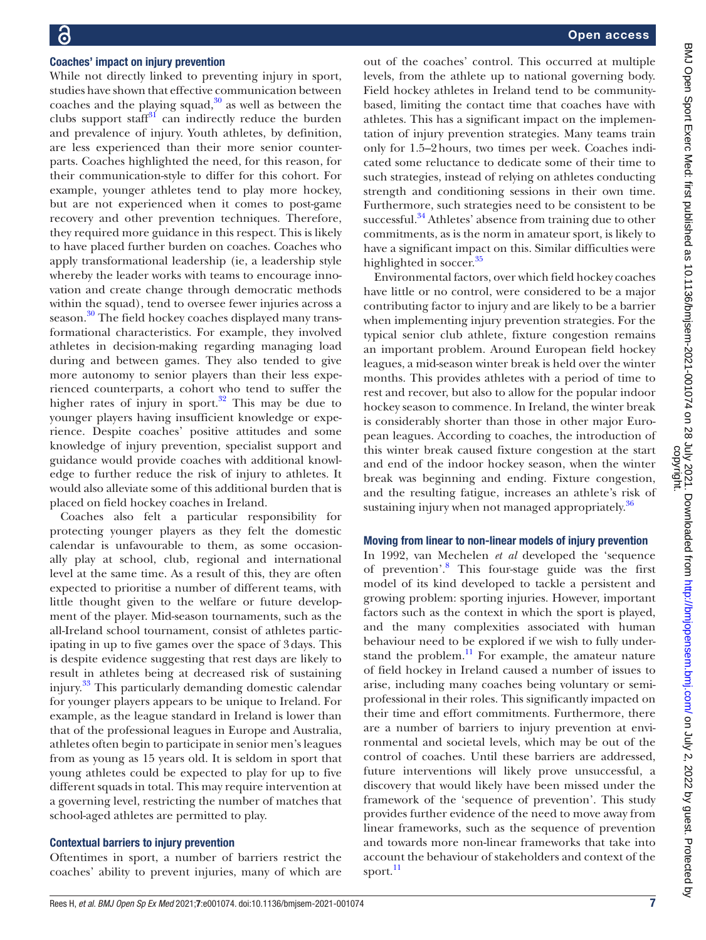#### Coaches' impact on injury prevention

While not directly linked to preventing injury in sport, studies have shown that effective communication between coaches and the playing squad, $30$  as well as between the clubs support staff<sup>[31](#page-8-10)</sup> can indirectly reduce the burden and prevalence of injury. Youth athletes, by definition, are less experienced than their more senior counterparts. Coaches highlighted the need, for this reason, for their communication-style to differ for this cohort. For example, younger athletes tend to play more hockey, but are not experienced when it comes to post-game recovery and other prevention techniques. Therefore, they required more guidance in this respect. This is likely to have placed further burden on coaches. Coaches who apply transformational leadership (ie, a leadership style whereby the leader works with teams to encourage innovation and create change through democratic methods within the squad), tend to oversee fewer injuries across a season.<sup>[30](#page-8-9)</sup> The field hockey coaches displayed many transformational characteristics. For example, they involved athletes in decision-making regarding managing load during and between games. They also tended to give more autonomy to senior players than their less experienced counterparts, a cohort who tend to suffer the higher rates of injury in sport.<sup>32</sup> This may be due to younger players having insufficient knowledge or experience. Despite coaches' positive attitudes and some knowledge of injury prevention, specialist support and guidance would provide coaches with additional knowledge to further reduce the risk of injury to athletes. It would also alleviate some of this additional burden that is placed on field hockey coaches in Ireland.

Coaches also felt a particular responsibility for protecting younger players as they felt the domestic calendar is unfavourable to them, as some occasionally play at school, club, regional and international level at the same time. As a result of this, they are often expected to prioritise a number of different teams, with little thought given to the welfare or future development of the player. Mid-season tournaments, such as the all-Ireland school tournament, consist of athletes participating in up to five games over the space of 3days. This is despite evidence suggesting that rest days are likely to result in athletes being at decreased risk of sustaining injury. [33](#page-8-12) This particularly demanding domestic calendar for younger players appears to be unique to Ireland. For example, as the league standard in Ireland is lower than that of the professional leagues in Europe and Australia, athletes often begin to participate in senior men's leagues from as young as 15 years old. It is seldom in sport that young athletes could be expected to play for up to five different squads in total. This may require intervention at a governing level, restricting the number of matches that school-aged athletes are permitted to play.

#### Contextual barriers to injury prevention

Oftentimes in sport, a number of barriers restrict the coaches' ability to prevent injuries, many of which are

out of the coaches' control. This occurred at multiple levels, from the athlete up to national governing body. Field hockey athletes in Ireland tend to be communitybased, limiting the contact time that coaches have with athletes. This has a significant impact on the implementation of injury prevention strategies. Many teams train only for 1.5–2hours, two times per week. Coaches indicated some reluctance to dedicate some of their time to such strategies, instead of relying on athletes conducting strength and conditioning sessions in their own time. Furthermore, such strategies need to be consistent to be successful.<sup>34</sup> Athletes' absence from training due to other commitments, as is the norm in amateur sport, is likely to have a significant impact on this. Similar difficulties were highlighted in soccer. $35$ 

Environmental factors, over which field hockey coaches have little or no control, were considered to be a major contributing factor to injury and are likely to be a barrier when implementing injury prevention strategies. For the typical senior club athlete, fixture congestion remains an important problem. Around European field hockey leagues, a mid-season winter break is held over the winter months. This provides athletes with a period of time to rest and recover, but also to allow for the popular indoor hockey season to commence. In Ireland, the winter break is considerably shorter than those in other major European leagues. According to coaches, the introduction of this winter break caused fixture congestion at the start and end of the indoor hockey season, when the winter break was beginning and ending. Fixture congestion, and the resulting fatigue, increases an athlete's risk of sustaining injury when not managed appropriately.<sup>36</sup>

#### Moving from linear to non-linear models of injury prevention

In 1992, van Mechelen *et al* developed the 'sequence of prevention'.[8](#page-7-5) This four-stage guide was the first model of its kind developed to tackle a persistent and growing problem: sporting injuries. However, important factors such as the context in which the sport is played, and the many complexities associated with human behaviour need to be explored if we wish to fully understand the problem. $^{11}$  For example, the amateur nature of field hockey in Ireland caused a number of issues to arise, including many coaches being voluntary or semiprofessional in their roles. This significantly impacted on their time and effort commitments. Furthermore, there are a number of barriers to injury prevention at environmental and societal levels, which may be out of the control of coaches. Until these barriers are addressed, future interventions will likely prove unsuccessful, a discovery that would likely have been missed under the framework of the 'sequence of prevention'. This study provides further evidence of the need to move away from linear frameworks, such as the sequence of prevention and towards more non-linear frameworks that take into account the behaviour of stakeholders and context of the sport.<sup>[11](#page-7-8)</sup>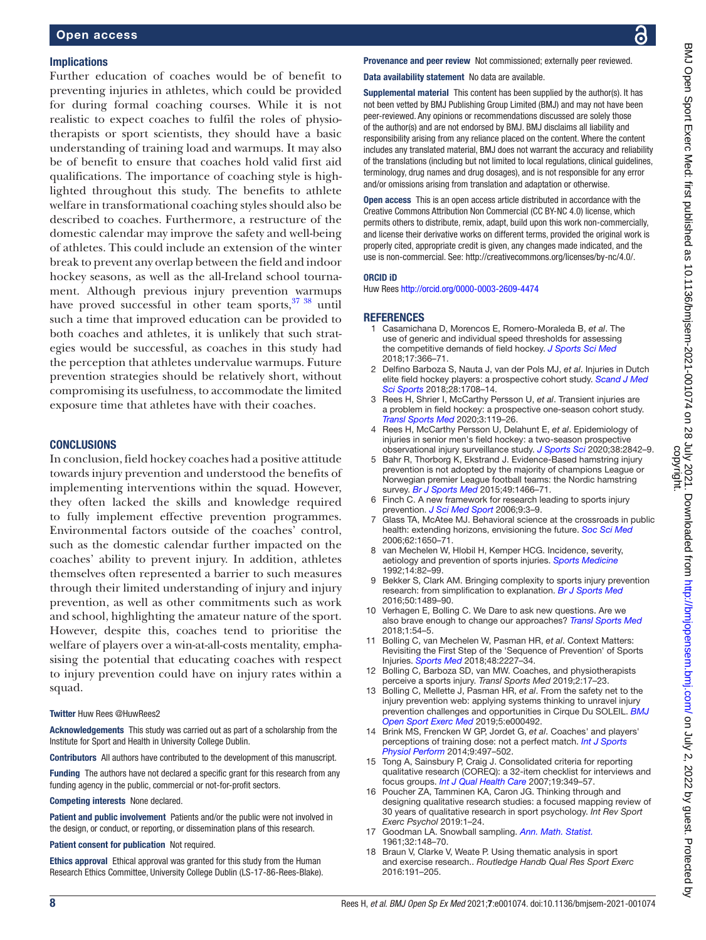#### Implications

Further education of coaches would be of benefit to preventing injuries in athletes, which could be provided for during formal coaching courses. While it is not realistic to expect coaches to fulfil the roles of physiotherapists or sport scientists, they should have a basic understanding of training load and warmups. It may also be of benefit to ensure that coaches hold valid first aid qualifications. The importance of coaching style is highlighted throughout this study. The benefits to athlete welfare in transformational coaching styles should also be described to coaches. Furthermore, a restructure of the domestic calendar may improve the safety and well-being of athletes. This could include an extension of the winter break to prevent any overlap between the field and indoor hockey seasons, as well as the all-Ireland school tournament. Although previous injury prevention warmups have proved successful in other team sports, <sup>37</sup> <sup>38</sup> until such a time that improved education can be provided to both coaches and athletes, it is unlikely that such strategies would be successful, as coaches in this study had the perception that athletes undervalue warmups. Future prevention strategies should be relatively short, without compromising its usefulness, to accommodate the limited exposure time that athletes have with their coaches.

#### **CONCLUSIONS**

In conclusion, field hockey coaches had a positive attitude towards injury prevention and understood the benefits of implementing interventions within the squad. However, they often lacked the skills and knowledge required to fully implement effective prevention programmes. Environmental factors outside of the coaches' control, such as the domestic calendar further impacted on the coaches' ability to prevent injury. In addition, athletes themselves often represented a barrier to such measures through their limited understanding of injury and injury prevention, as well as other commitments such as work and school, highlighting the amateur nature of the sport. However, despite this, coaches tend to prioritise the welfare of players over a win-at-all-costs mentality, emphasising the potential that educating coaches with respect to injury prevention could have on injury rates within a squad.

#### Twitter Huw Rees [@HuwRees2](https://twitter.com/HuwRees2)

Acknowledgements This study was carried out as part of a scholarship from the Institute for Sport and Health in University College Dublin.

Contributors All authors have contributed to the development of this manuscript.

Funding The authors have not declared a specific grant for this research from any funding agency in the public, commercial or not-for-profit sectors.

Competing interests None declared.

Patient and public involvement Patients and/or the public were not involved in the design, or conduct, or reporting, or dissemination plans of this research.

Patient consent for publication Not required.

Ethics approval Ethical approval was granted for this study from the Human Research Ethics Committee, University College Dublin (LS-17-86-Rees-Blake). BMJ Open Sport Exerc Med: first published as 10.1136/bmjsem-2021-001074 on 28 July 2021. Downloaded from http://bmjopensem.bmj.com/ on July 2, 2022 by guest. Protected by<br>copyright. BMJ Open Sport Exerc Med: first published as 10.1136/bmjsem-2021-001074 on 28 July 2021. Downloaded from <http://bmjopensem.bmj.com/> on July 2, 2022 by guest. Protected by

Provenance and peer review Not commissioned; externally peer reviewed.

Data availability statement No data are available.

Supplemental material This content has been supplied by the author(s). It has not been vetted by BMJ Publishing Group Limited (BMJ) and may not have been peer-reviewed. Any opinions or recommendations discussed are solely those of the author(s) and are not endorsed by BMJ. BMJ disclaims all liability and responsibility arising from any reliance placed on the content. Where the content includes any translated material, BMJ does not warrant the accuracy and reliability of the translations (including but not limited to local regulations, clinical guidelines, terminology, drug names and drug dosages), and is not responsible for any error and/or omissions arising from translation and adaptation or otherwise.

Open access This is an open access article distributed in accordance with the Creative Commons Attribution Non Commercial (CC BY-NC 4.0) license, which permits others to distribute, remix, adapt, build upon this work non-commercially, and license their derivative works on different terms, provided the original work is properly cited, appropriate credit is given, any changes made indicated, and the use is non-commercial. See:<http://creativecommons.org/licenses/by-nc/4.0/>.

#### ORCID iD

Huw Rees<http://orcid.org/0000-0003-2609-4474>

#### **REFERENCES**

- <span id="page-7-0"></span>1 Casamichana D, Morencos E, Romero-Moraleda B, *et al*. The use of generic and individual speed thresholds for assessing the competitive demands of field hockey. *[J Sports Sci Med](http://www.ncbi.nlm.nih.gov/pubmed/30116109)* 2018;17:366–71.
- <span id="page-7-1"></span>2 Delfino Barboza S, Nauta J, van der Pols MJ, *et al*. Injuries in Dutch elite field hockey players: a prospective cohort study. *[Scand J Med](http://dx.doi.org/10.1111/sms.13065)  [Sci Sports](http://dx.doi.org/10.1111/sms.13065)* 2018;28:1708–14.
- 3 Rees H, Shrier I, McCarthy Persson U, *et al*. Transient injuries are a problem in field hockey: a prospective one‐season cohort study. *[Transl Sports Med](http://dx.doi.org/10.1002/tsm2.126)* 2020;3:119–26.
- 4 Rees H, McCarthy Persson U, Delahunt E, *et al*. Epidemiology of injuries in senior men's field hockey: a two-season prospective observational injury surveillance study. *[J Sports Sci](http://dx.doi.org/10.1080/02640414.2020.1802094)* 2020;38:2842–9.
- <span id="page-7-2"></span>5 Bahr R, Thorborg K, Ekstrand J. Evidence-Based hamstring injury prevention is not adopted by the majority of champions League or Norwegian premier League football teams: the Nordic hamstring survey. *[Br J Sports Med](http://dx.doi.org/10.1136/bjsports-2015-094826)* 2015;49:1466–71.
- <span id="page-7-3"></span>6 Finch C. A new framework for research leading to sports injury prevention. *[J Sci Med Sport](http://dx.doi.org/10.1016/j.jsams.2006.02.009)* 2006;9:3–9.
- <span id="page-7-4"></span>7 Glass TA, McAtee MJ. Behavioral science at the crossroads in public health: extending horizons, envisioning the future. *[Soc Sci Med](http://dx.doi.org/10.1016/j.socscimed.2005.08.044)* 2006;62:1650–71.
- <span id="page-7-5"></span>van Mechelen W, Hlobil H, Kemper HCG. Incidence, severity, aetiology and prevention of sports injuries. *[Sports Medicine](http://dx.doi.org/10.2165/00007256-199214020-00002)* 1992;14:82–99.
- <span id="page-7-6"></span>9 Bekker S, Clark AM. Bringing complexity to sports injury prevention research: from simplification to explanation. *[Br J Sports Med](http://dx.doi.org/10.1136/bjsports-2016-096457)* 2016;50:1489–90.
- <span id="page-7-7"></span>10 Verhagen E, Bolling C. We Dare to ask new questions. Are we also brave enough to change our approaches? *[Transl Sports Med](http://dx.doi.org/10.1002/tsm2.8)* 2018;1:54–5.
- <span id="page-7-8"></span>11 Bolling C, van Mechelen W, Pasman HR, *et al*. Context Matters: Revisiting the First Step of the 'Sequence of Prevention' of Sports Injuries. *[Sports Med](http://dx.doi.org/10.1007/s40279-018-0953-x)* 2018;48:2227–34.
- <span id="page-7-9"></span>12 Bolling C, Barboza SD, van MW. Coaches, and physiotherapists perceive a sports injury. *Transl Sports Med* 2019;2:17–23.
- 13 Bolling C, Mellette J, Pasman HR, *et al*. From the safety net to the injury prevention web: applying systems thinking to unravel injury prevention challenges and opportunities in Cirque Du SOLEIL. *[BMJ](http://dx.doi.org/10.1136/bmjsem-2018-000492)  [Open Sport Exerc Med](http://dx.doi.org/10.1136/bmjsem-2018-000492)* 2019;5:e000492.
- 14 Brink MS, Frencken W GP, Jordet G, *et al*. Coaches' and players' perceptions of training dose: not a perfect match. *[Int J Sports](http://dx.doi.org/10.1123/ijspp.2013-0009)  [Physiol Perform](http://dx.doi.org/10.1123/ijspp.2013-0009)* 2014;9:497–502.
- <span id="page-7-10"></span>15 Tong A, Sainsbury P, Craig J. Consolidated criteria for reporting qualitative research (COREQ): a 32-item checklist for interviews and focus groups. *[Int J Qual Health Care](http://dx.doi.org/10.1093/intqhc/mzm042)* 2007;19:349–57.
- <span id="page-7-11"></span>16 Poucher ZA, Tamminen KA, Caron JG. Thinking through and designing qualitative research studies: a focused mapping review of 30 years of qualitative research in sport psychology. *Int Rev Sport Exerc Psychol* 2019:1–24.
- <span id="page-7-12"></span>17 Goodman LA. Snowball sampling. *[Ann. Math. Statist.](http://dx.doi.org/10.1214/aoms/1177705148)* 1961;32:148–70.
- <span id="page-7-13"></span>18 Braun V, Clarke V, Weate P. Using thematic analysis in sport and exercise research.. *Routledge Handb Qual Res Sport Exerc* 2016:191–205.